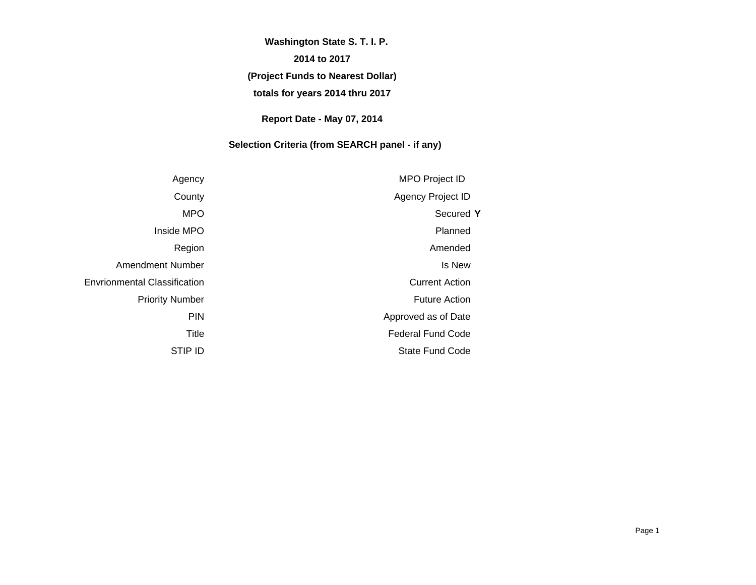# **(Project Funds to Nearest Dollar) totals for years 2014 thru 2017 Washington State S. T. I. P. 2014 to 2017**

#### **Report Date - May 07, 2014**

#### **Selection Criteria (from SEARCH panel - if any)**

| <b>MPO Project ID</b>    | Agency                              |
|--------------------------|-------------------------------------|
| Agency Project ID        | County                              |
| Secured Y                | <b>MPO</b>                          |
| Planned                  | Inside MPO                          |
| Amended                  | Region                              |
| Is New                   | <b>Amendment Number</b>             |
| <b>Current Action</b>    | <b>Envrionmental Classification</b> |
| <b>Future Action</b>     | <b>Priority Number</b>              |
| Approved as of Date      | <b>PIN</b>                          |
| <b>Federal Fund Code</b> | Title                               |
| <b>State Fund Code</b>   | STIP ID                             |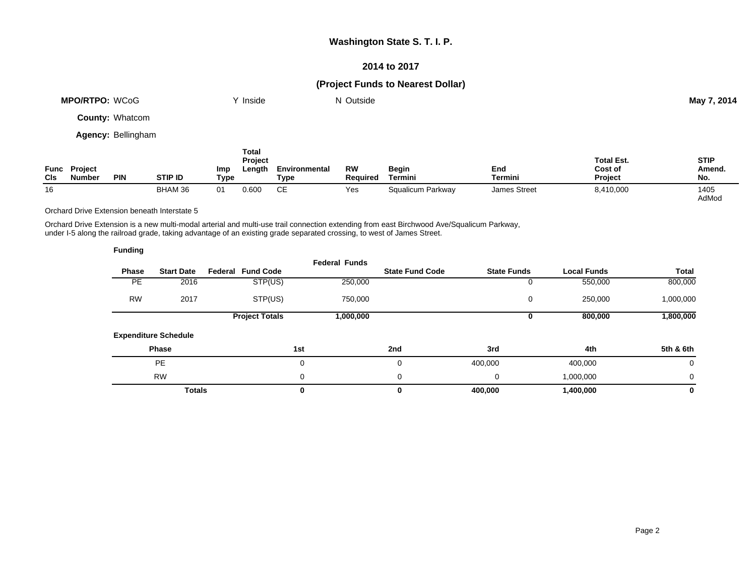#### **2014 to 2017**

#### **(Project Funds to Nearest Dollar)**

| <b>MPO/RTPO: WCoG</b>  | Y Inside     | N Outside |         | May 7, 2014 |
|------------------------|--------------|-----------|---------|-------------|
| <b>County: Whatcom</b> |              |           |         |             |
| Agency: Bellingham     |              |           |         |             |
|                        | Total<br>_ _ |           | _ _ _ _ | $- - - -$   |

| Func<br><b>CIs</b> | Project<br>Number | PIN | <b>STIP ID</b> | <b>Imp</b><br>Type | Project<br>Length | Environmental<br>Type | RW<br><b>Required</b> | Begin<br>Termini  | End<br>Termini      | <b>Total Est.</b><br>Cost of<br><b>Project</b> | <b>STIP</b><br>Amend.<br>No. |
|--------------------|-------------------|-----|----------------|--------------------|-------------------|-----------------------|-----------------------|-------------------|---------------------|------------------------------------------------|------------------------------|
| 16                 |                   |     | BHAM 36        | 01                 | 0.600             | СE                    | Yes                   | Squalicum Parkway | <b>James Street</b> | 8,410,000                                      | 1405<br>AdMod                |

Orchard Drive Extension beneath Interstate 5

Orchard Drive Extension is a new multi-modal arterial and multi-use trail connection extending from east Birchwood Ave/Squalicum Parkway, under I-5 along the railroad grade, taking advantage of an existing grade separated crossing, to west of James Street.

| <b>Funding</b> |                             |                          |                      |                        |                    |                    |              |
|----------------|-----------------------------|--------------------------|----------------------|------------------------|--------------------|--------------------|--------------|
| <b>Phase</b>   | <b>Start Date</b>           | <b>Federal Fund Code</b> | <b>Federal Funds</b> | <b>State Fund Code</b> | <b>State Funds</b> | <b>Local Funds</b> | <b>Total</b> |
| PE.            | 2016                        | STP(US)                  | 250,000              |                        | 0                  | 550,000            | 800,000      |
| <b>RW</b>      | 2017                        | STP(US)                  | 750,000              |                        | 0                  | 250,000            | 1,000,000    |
|                |                             | <b>Project Totals</b>    | 1,000,000            |                        | 0                  | 800,000            | 1,800,000    |
|                | <b>Expenditure Schedule</b> |                          |                      |                        |                    |                    |              |
|                | <b>Phase</b>                |                          | 1st                  | 2nd                    | 3rd                | 4th                | 5th & 6th    |
|                | <b>PE</b>                   |                          | $\mathbf 0$          | 0                      | 400,000            | 400,000            | $\mathbf 0$  |
|                | <b>RW</b>                   |                          | $\Omega$             | 0                      | 0                  | 1,000,000          | $\mathbf 0$  |
|                | <b>Totals</b>               |                          | 0                    | 0                      | 400,000            | 1,400,000          | 0            |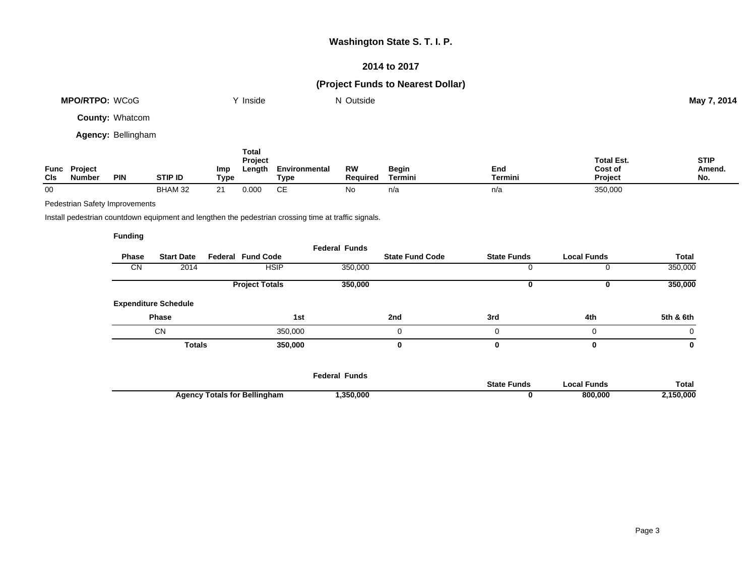#### **2014 to 2017**

## **(Project Funds to Nearest Dollar)**

| <b>MPO/RTPO: WCoG</b>     | Inside           | N Outside |                   | May 7, 2014 |
|---------------------------|------------------|-----------|-------------------|-------------|
| <b>County: Whatcom</b>    |                  |           |                   |             |
| <b>Agency: Bellingham</b> |                  |           |                   |             |
|                           | Total<br>Project |           | <b>Total Est.</b> | <b>STIP</b> |

| Func<br>CIS | <b>Project</b><br>mber | <b>PIN</b> | stip Id        | Imp<br>Tvpe | ∟enath         | Environmenta<br>Tvpe | RW<br>Reauired | Begin<br>Гermini | End<br>Γermini | Cost of<br>Project | Amend.<br>IV |
|-------------|------------------------|------------|----------------|-------------|----------------|----------------------|----------------|------------------|----------------|--------------------|--------------|
| 00          |                        |            | <b>BHAM 32</b> |             | $\sim$<br>.uuu | ~-<br>ັ              |                | n/a              | n/a            | 350,000            |              |

Pedestrian Safety Improvements

Install pedestrian countdown equipment and lengthen the pedestrian crossing time at traffic signals.

#### **Funding**

| <b>Start Date</b>           | <b>Federal Fund Code</b> |               | <b>State Fund Code</b> | <b>State Funds</b> | <b>Local Funds</b> | Total     |
|-----------------------------|--------------------------|---------------|------------------------|--------------------|--------------------|-----------|
| 2014                        | <b>HSIP</b>              | 350,000       |                        |                    |                    | 350,000   |
|                             | <b>Project Totals</b>    | 350,000       |                        |                    | v                  | 350,000   |
| <b>Expenditure Schedule</b> |                          |               |                        |                    |                    |           |
| <b>Phase</b>                | 1st                      |               | 2nd                    | 3rd                | 4th                | 5th & 6th |
|                             | 350,000                  |               | ი                      | 0                  | $\Omega$           | 0         |
|                             | 350,000                  |               | 0                      | 0                  | 0                  | 0         |
|                             |                          | <b>Totals</b> |                        |                    |                    |           |

|                                                     | Federal Funds |                    |                 |              |
|-----------------------------------------------------|---------------|--------------------|-----------------|--------------|
|                                                     |               | <b>State Funds</b> | `Funds<br>neal. | <b>Total</b> |
| <b>Totals for Bellingham</b><br>Agency <sup>-</sup> | ,350,000      |                    | 800.000         | 150,000      |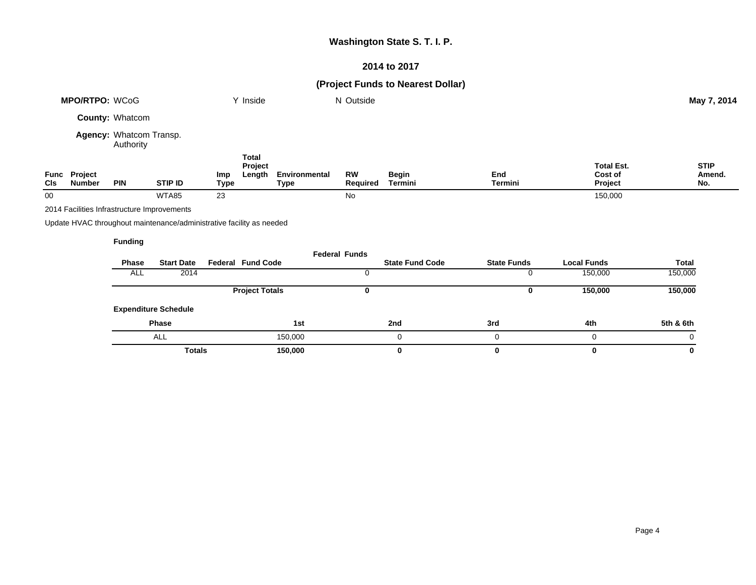## **2014 to 2017**

## **(Project Funds to Nearest Dollar)**

|             | <b>MPO/RTPO: WCoG</b>                       |                                      |                                                                      |             | Y Inside                          |                       | N Outside             |                         |                    |                                         | May 7, 2014                  |
|-------------|---------------------------------------------|--------------------------------------|----------------------------------------------------------------------|-------------|-----------------------------------|-----------------------|-----------------------|-------------------------|--------------------|-----------------------------------------|------------------------------|
|             |                                             | <b>County: Whatcom</b>               |                                                                      |             |                                   |                       |                       |                         |                    |                                         |                              |
|             |                                             | Agency: Whatcom Transp.<br>Authority |                                                                      |             |                                   |                       |                       |                         |                    |                                         |                              |
| Func<br>Cls | Project<br><b>Number</b>                    | <b>PIN</b>                           | <b>STIP ID</b>                                                       | Imp<br>Type | <b>Total</b><br>Project<br>Length | Environmental<br>Type | <b>RW</b><br>Required | <b>Begin</b><br>Termini | End<br>Termini     | <b>Total Est.</b><br>Cost of<br>Project | <b>STIP</b><br>Amend.<br>No. |
| 00          |                                             |                                      | WTA85                                                                | 23          |                                   |                       | No                    |                         |                    | 150,000                                 |                              |
|             | 2014 Facilities Infrastructure Improvements |                                      |                                                                      |             |                                   |                       |                       |                         |                    |                                         |                              |
|             |                                             |                                      | Update HVAC throughout maintenance/administrative facility as needed |             |                                   |                       |                       |                         |                    |                                         |                              |
|             |                                             | <b>Funding</b>                       |                                                                      |             |                                   |                       |                       |                         |                    |                                         |                              |
|             |                                             | <b>Phase</b>                         | <b>Start Date</b>                                                    |             | <b>Federal Fund Code</b>          |                       | <b>Federal Funds</b>  | <b>State Fund Code</b>  | <b>State Funds</b> | <b>Local Funds</b>                      | <b>Total</b>                 |
|             |                                             | ALL                                  | 2014                                                                 |             |                                   |                       | 0                     |                         | 0                  | 150,000                                 | 150,000                      |

|                             | <b>Project Totals</b> |     |     | 150,000 | 150,000   |
|-----------------------------|-----------------------|-----|-----|---------|-----------|
| <b>Expenditure Schedule</b> |                       |     |     |         |           |
| <b>Phase</b>                | 1st                   | 2nd | 3rd | 4th     | 5th & 6th |
| <b>ALL</b>                  | 150,000               |     |     |         |           |
| <b>Totals</b>               | 150,000               |     |     | 0       | 0         |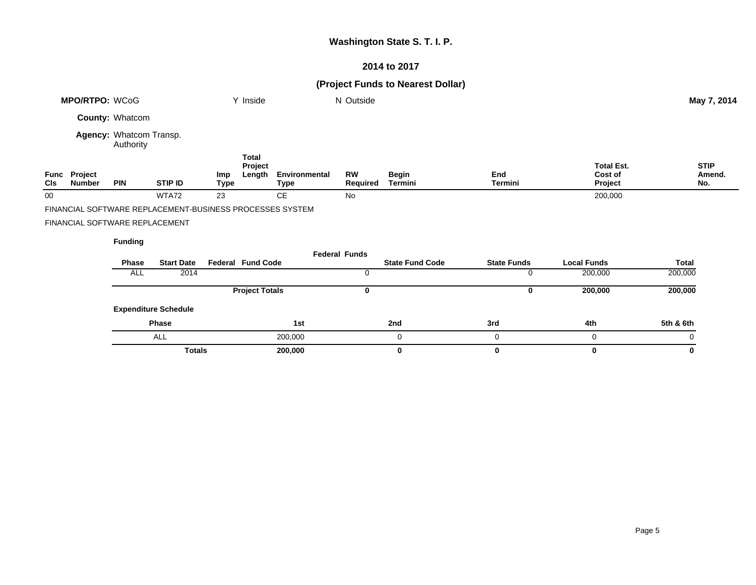## **2014 to 2017**

## **(Project Funds to Nearest Dollar)**

|     | <b>MPO/RTPO: WCoG</b>          |                                      |                                                          |             | Y Inside                          |                       | N Outside             |                  |                |                                         | May 7, 2014                  |
|-----|--------------------------------|--------------------------------------|----------------------------------------------------------|-------------|-----------------------------------|-----------------------|-----------------------|------------------|----------------|-----------------------------------------|------------------------------|
|     |                                | County: Whatcom                      |                                                          |             |                                   |                       |                       |                  |                |                                         |                              |
|     |                                | Agency: Whatcom Transp.<br>Authority |                                                          |             |                                   |                       |                       |                  |                |                                         |                              |
| Cls | Func Project<br>Number         | <b>PIN</b>                           | <b>STIP ID</b>                                           | Imp<br>Type | <b>Total</b><br>Project<br>Length | Environmental<br>Type | <b>RW</b><br>Required | Begin<br>Termini | End<br>Termini | <b>Total Est.</b><br>Cost of<br>Project | <b>STIP</b><br>Amend.<br>No. |
| 00  |                                |                                      | WTA72                                                    | 23          |                                   | <b>CE</b>             | <b>No</b>             |                  |                | 200,000                                 |                              |
|     |                                |                                      | FINANCIAL SOFTWARE REPLACEMENT-BUSINESS PROCESSES SYSTEM |             |                                   |                       |                       |                  |                |                                         |                              |
|     | FINANCIAL SOFTWARE REPLACEMENT |                                      |                                                          |             |                                   |                       |                       |                  |                |                                         |                              |
|     |                                | <b>Funding</b>                       |                                                          |             |                                   |                       | Eadaral Eunda         |                  |                |                                         |                              |

| Phase<br>ALL | <b>Start Date</b><br>2014   | <b>Federal Fund Code</b> | Federal Funds | <b>State Fund Code</b> | <b>State Funds</b> | <b>Local Funds</b><br>200,000 | Total<br>200,000 |
|--------------|-----------------------------|--------------------------|---------------|------------------------|--------------------|-------------------------------|------------------|
|              |                             | <b>Project Totals</b>    |               |                        |                    | 200,000                       | 200,000          |
|              | <b>Expenditure Schedule</b> |                          |               |                        |                    |                               |                  |
|              | <b>Phase</b>                |                          | 1st           | 2nd                    | 3rd                | 4th                           | 5th & 6th        |
|              | <b>ALL</b>                  | 200,000                  |               | 0                      |                    |                               | 0                |
|              | <b>Totals</b>               | 200,000                  |               | 0                      |                    |                               | 0                |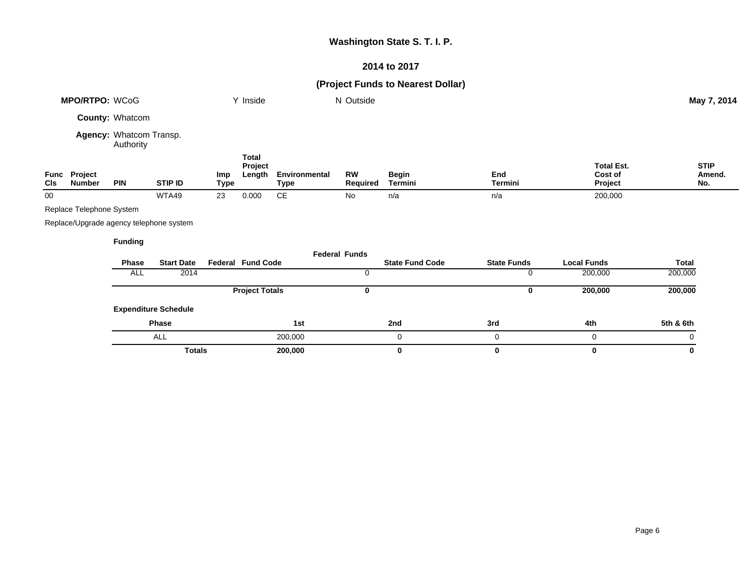## **2014 to 2017**

## **(Project Funds to Nearest Dollar)**

|                    | <b>MPO/RTPO: WCoG</b>                   |                                      |                             |                    | Y Inside                          |                              | N Outside             |                         |                    |                                         | May 7, 2014                  |
|--------------------|-----------------------------------------|--------------------------------------|-----------------------------|--------------------|-----------------------------------|------------------------------|-----------------------|-------------------------|--------------------|-----------------------------------------|------------------------------|
|                    |                                         | County: Whatcom                      |                             |                    |                                   |                              |                       |                         |                    |                                         |                              |
|                    |                                         | Agency: Whatcom Transp.<br>Authority |                             |                    |                                   |                              |                       |                         |                    |                                         |                              |
| Func<br><b>CIs</b> | <b>Project</b><br><b>Number</b>         | <b>PIN</b>                           | <b>STIP ID</b>              | Imp<br><b>Type</b> | <b>Total</b><br>Project<br>Length | Environmental<br><b>Type</b> | <b>RW</b><br>Required | <b>Begin</b><br>Termini | End<br>Termini     | <b>Total Est.</b><br>Cost of<br>Project | <b>STIP</b><br>Amend.<br>No. |
| 00                 |                                         |                                      | WTA49                       | 23                 | 0.000                             | $\mathsf{CE}$                | No                    | n/a                     | n/a                | 200,000                                 |                              |
|                    | Replace Telephone System                |                                      |                             |                    |                                   |                              |                       |                         |                    |                                         |                              |
|                    | Replace/Upgrade agency telephone system |                                      |                             |                    |                                   |                              |                       |                         |                    |                                         |                              |
|                    |                                         | <b>Funding</b>                       |                             |                    |                                   |                              |                       |                         |                    |                                         |                              |
|                    |                                         |                                      |                             |                    |                                   |                              | <b>Federal Funds</b>  |                         |                    |                                         |                              |
|                    |                                         | Phase                                | <b>Start Date</b>           |                    | <b>Federal Fund Code</b>          |                              |                       | <b>State Fund Code</b>  | <b>State Funds</b> | <b>Local Funds</b>                      | <b>Total</b>                 |
|                    |                                         | ALL                                  | 2014                        |                    |                                   |                              | 0                     |                         | 0                  | 200,000                                 | 200,000                      |
|                    |                                         |                                      |                             |                    | <b>Project Totals</b>             |                              | 0                     |                         | 0                  | 200,000                                 | 200,000                      |
|                    |                                         |                                      | <b>Expenditure Schedule</b> |                    |                                   |                              |                       |                         |                    |                                         |                              |
|                    |                                         |                                      | Phase                       |                    |                                   | 1st                          |                       | 2nd                     | 3rd                | 4th                                     | 5th & 6th                    |
|                    |                                         |                                      | ALL                         |                    |                                   | 200,000                      |                       | 0                       | 0                  | 0                                       | 0                            |
|                    |                                         |                                      | <b>Totals</b>               |                    |                                   | 200,000                      |                       | 0                       | 0                  | 0                                       | 0                            |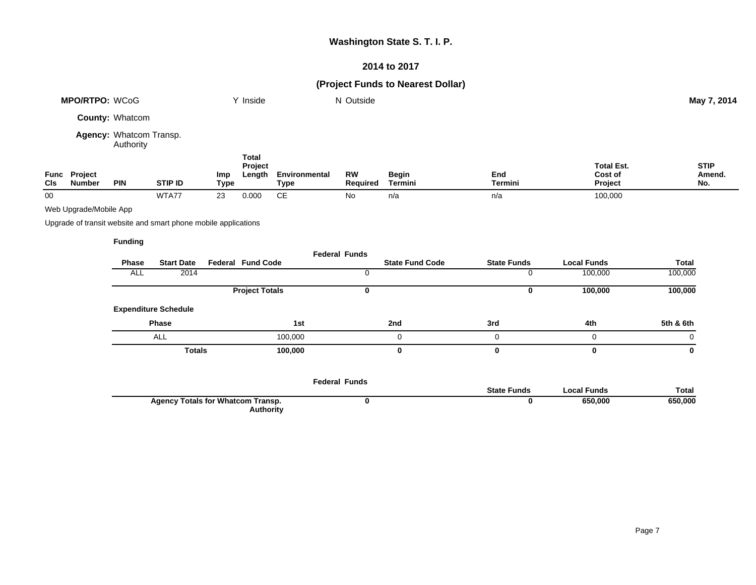## **2014 to 2017**

## **(Project Funds to Nearest Dollar)**

|             | <b>MPO/RTPO: WCoG</b>    |                                      |                                                                |                    | Y Inside                          |                              | N Outside             |                         |                    |                                         | May 7, 2014                  |
|-------------|--------------------------|--------------------------------------|----------------------------------------------------------------|--------------------|-----------------------------------|------------------------------|-----------------------|-------------------------|--------------------|-----------------------------------------|------------------------------|
|             |                          | <b>County: Whatcom</b>               |                                                                |                    |                                   |                              |                       |                         |                    |                                         |                              |
|             |                          | Agency: Whatcom Transp.<br>Authority |                                                                |                    |                                   |                              |                       |                         |                    |                                         |                              |
| Func<br>CIs | Project<br><b>Number</b> | <b>PIN</b>                           | STIP ID                                                        | Imp<br><b>Type</b> | <b>Total</b><br>Project<br>Length | Environmental<br><b>Type</b> | <b>RW</b><br>Required | <b>Begin</b><br>Termini | End<br>Termini     | <b>Total Est.</b><br>Cost of<br>Project | <b>STIP</b><br>Amend.<br>No. |
| 00          |                          |                                      | WTA77                                                          | 23                 | 0.000                             | <b>CE</b>                    | No                    | n/a                     | n/a                | 100,000                                 |                              |
|             | Web Upgrade/Mobile App   |                                      |                                                                |                    |                                   |                              |                       |                         |                    |                                         |                              |
|             |                          |                                      | Upgrade of transit website and smart phone mobile applications |                    |                                   |                              |                       |                         |                    |                                         |                              |
|             |                          | <b>Funding</b>                       |                                                                |                    |                                   |                              |                       |                         |                    |                                         |                              |
|             |                          |                                      |                                                                |                    |                                   |                              | <b>Federal Funds</b>  |                         |                    |                                         |                              |
|             |                          | <b>Phase</b>                         | <b>Start Date</b>                                              |                    | <b>Federal Fund Code</b>          |                              |                       | <b>State Fund Code</b>  | <b>State Funds</b> | <b>Local Funds</b>                      | <b>Total</b>                 |
|             |                          | <b>ALL</b>                           | 2014                                                           |                    |                                   |                              | 0                     |                         | 0                  | 100,000                                 | 100,000                      |
|             |                          |                                      |                                                                |                    | <b>Project Totals</b>             |                              | $\mathbf 0$           |                         | 0                  | 100,000                                 | 100,000                      |
|             |                          |                                      | <b>Expenditure Schedule</b>                                    |                    |                                   |                              |                       |                         |                    |                                         |                              |
|             |                          |                                      | <b>Phase</b>                                                   |                    |                                   | 1st                          |                       | 2nd                     | 3rd                | 4th                                     | 5th & 6th                    |
|             |                          |                                      | ALL                                                            |                    |                                   | 100,000                      |                       | 0                       | 0                  | 0                                       | 0                            |

|                                                       | <b>Federal Funds</b> |                    |             |              |
|-------------------------------------------------------|----------------------|--------------------|-------------|--------------|
|                                                       |                      | <b>State Funds</b> | Local Funds | <b>Total</b> |
| <b>Agency Totals for Whatcom Transp.</b><br>Authority |                      |                    | 650,000     | 650,000      |

**Totals 100,000 0 0 0 0**